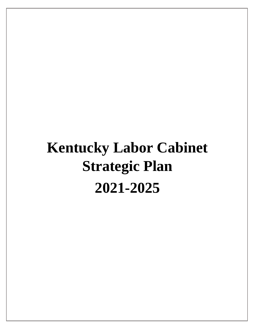# **Kentucky Labor Cabinet Strategic Plan 2021-2025**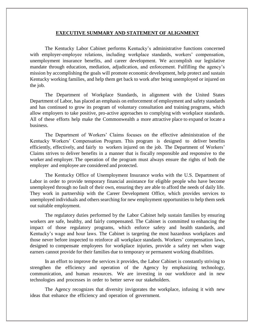#### **EXECUTIVE SUMMARY AND STATEMENT OF ALIGNMENT**

The Kentucky Labor Cabinet performs Kentucky's administrative functions concerned with employer-employee relations, including workplace standards, workers' compensation, unemployment insurance benefits, and career development. We accomplish our legislative mandate through education, mediation, adjudication, and enforcement. Fulfilling the agency's mission by accomplishing the goals will promote economic development, help protect and sustain Kentucky working families, and help them get back to work after being unemployed or injured on the job.

The Department of Workplace Standards, in alignment with the United States Department of Labor, has placed an emphasis on enforcement of employment and safety standards and has continued to grow its program of voluntary consultation and training programs, which allow employers to take positive, pro-active approaches to complying with workplace standards. All of these efforts help make the Commonwealth a more attractive place to expand or locate a business.

The Department of Workers' Claims focuses on the effective administration of the Kentucky Workers' Compensation Program. This program is designed to deliver benefits efficiently, effectively, and fairly to workers injured on the job. The Department of Workers' Claims strives to deliver benefits in a manner that is fiscally responsible and responsive to the worker and employer. The operation of the program must always ensure the rights of both the employer and employee are considered and protected.

The Kentucky Office of Unemployment Insurance works with the U.S. Department of Labor in order to provide temporary financial assistance for eligible people who have become unemployed through no fault of their own, ensuring they are able to afford the needs of daily life. They work in partnership with the Career Development Office, which provides services to unemployed individuals and others searching for new employment opportunities to help them seek out suitable employment.

The regulatory duties performed by the Labor Cabinet help sustain families by ensuring workers are safe, healthy, and fairly compensated. The Cabinet is committed to enhancing the impact of those regulatory programs, which enforce safety and health standards, and Kentucky's wage and hour laws. The Cabinet is targeting the most hazardous workplaces and those never before inspected to reinforce all workplace standards. Workers' compensation laws, designed to compensate employees for workplace injuries, provide a safety net when wage earners cannot provide for their families due to temporary or permanent working disabilities.

In an effort to improve the services it provides, the Labor Cabinet is constantly striving to strengthen the efficiency and operation of the Agency by emphasizing technology, communication, and human resources. We are investing in our workforce and in new technologies and processes in order to better serve our stakeholders.

The Agency recognizes that diversity invigorates the workplace, infusing it with new ideas that enhance the efficiency and operation of government.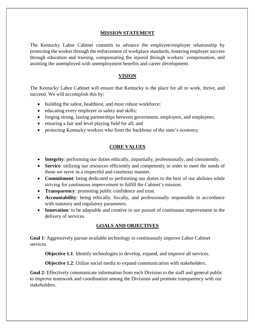# **MISSION STATEMENT**

The Kentucky Labor Cabinet commits to advance the employee/employer relationship by protecting the worker through the enforcement of workplace standards, fostering employer success through education and training, compensating the injured through workers' compensation, and assisting the unemployed with unemployment benefits and career development.

# **VISION**

The Kentucky Labor Cabinet will ensure that Kentucky is the place for all to work, thrive, and succeed. We will accomplish this by:

- building the safest, healthiest, and most robust workforce;
- educating every employer in safety and skills;
- forging strong, lasting partnerships between government, employers, and employees;
- ensuring a fair and level playing field for all; and
- protecting Kentucky workers who form the backbone of the state's economy.

# **CORE VALUES**

- **Integrity**: performing our duties ethically, impartially, professionally, and consistently.
- **Service**: utilizing our resources efficiently and competently in order to meet the needs of those we serve in a respectful and courteous manner.
- **Commitment**: being dedicated to performing our duties to the best of our abilities while striving for continuous improvement to fulfill the Cabinet's mission.
- **Transparency**: promoting public confidence and trust.
- **Accountability**: being ethically, fiscally, and professionally responsible in accordance with statutory and regulatory parameters.
- **Innovation**: to be adaptable and creative in our pursuit of continuous improvement in the delivery of services.

# **GOALS AND OBJECTIVES**

**Goal 1**: Aggressively pursue available technology to continuously improve Labor Cabinet services.

**Objective 1.1**: Identify technologies to develop, expand, and improve all services.

**Objective 1.2:** Utilize social media to expand communication with stakeholders.

**Goal 2**: Effectively communicate information from each Division to the staff and general public to improve teamwork and coordination among the Divisions and promote transparency with our stakeholders.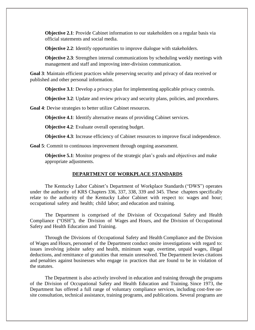**Objective 2.1**: Provide Cabinet information to our stakeholders on a regular basis via official statements and social media.

**Objective 2.2:** Identify opportunities to improve dialogue with stakeholders.

**Objective 2.3**: Strengthen internal communications by scheduling weekly meetings with management and staff and improving inter-division communication.

**Goal 3**: Maintain efficient practices while preserving security and privacy of data received or published and other personal information.

**Objective 3.1**: Develop a privacy plan for implementing applicable privacy controls.

**Objective 3.2**: Update and review privacy and security plans, policies, and procedures.

**Goal 4**: Devise strategies to better utilize Cabinet resources.

**Objective 4.1**: Identify alternative means of providing Cabinet services.

**Objective 4.2:** Evaluate overall operating budget.

**Objective 4.3**: Increase efficiency of Cabinet resources to improve fiscal independence.

**Goal 5**: Commit to continuous improvement through ongoing assessment.

**Objective 5.1**: Monitor progress of the strategic plan's goals and objectives and make appropriate adjustments.

## **DEPARTMENT OF WORKPLACE STANDARDS**

The Kentucky Labor Cabinet's Department of Workplace Standards ("DWS") operates under the authority of KRS Chapters 336, 337, 338, 339 and 345. These chapters specifically relate to the authority of the Kentucky Labor Cabinet with respect to: wages and hour; occupational safety and health; child labor; and education and training.

The Department is comprised of the Division of Occupational Safety and Health Compliance ("OSH"), the Division of Wages and Hours, and the Division of Occupational Safety and Health Education and Training.

Through the Divisions of Occupational Safety and Health Compliance and the Division of Wages and Hours, personnel of the Department conduct onsite investigations with regard to: issues involving jobsite safety and health, minimum wage, overtime, unpaid wages, illegal deductions, and remittance of gratuities that remain unresolved. The Department levies citations and penalties against businesses who engage in practices that are found to be in violation of the statutes.

The Department is also actively involved in education and training through the programs of the Division of Occupational Safety and Health Education and Training. Since 1973, the Department has offered a full range of voluntary compliance services, including cost-free onsite consultation, technical assistance, training programs, and publications. Several programs are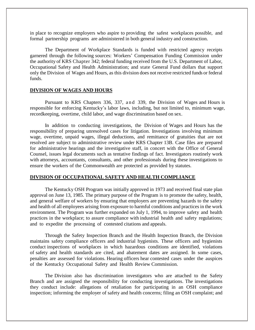in place to recognize employers who aspire to providing the safest workplaces possible, and formal partnership programs are administered in both general industry and construction.

The Department of Workplace Standards is funded with restricted agency receipts garnered through the following sources: Workers' Compensation Funding Commission under the authority of KRS Chapter 342; federal funding received from the U.S. Department of Labor, Occupational Safety and Health Administration; and state General Fund dollars that support only the Division of Wages and Hours, as this division does not receive restricted funds or federal funds.

## **DIVISION OF WAGES AND HOURS**

Pursuant to KRS Chapters 336, 337, and 339, the Division of Wages and Hours is responsible for enforcing Kentucky's labor laws, including, but not limited to, minimum wage, recordkeeping, overtime, child labor, and wage discrimination based on sex.

In addition to conducting investigations, the Division of Wages and Hours has the responsibility of preparing unresolved cases for litigation. Investigations involving minimum wage, overtime, unpaid wages, illegal deductions, and remittance of gratuities that are not resolved are subject to administrative review under KRS Chapter 13B. Case files are prepared for administrative hearings and the investigative staff, in concert with the Office of General Counsel, issues legal documents such as tentative findings of fact. Investigators routinely work with attorneys, accountants, consultants, and other professionals during these investigations to ensure the workers of the Commonwealth are protected as provided by statutes.

#### **DIVISION OF OCCUPATIONAL SAFETY AND HEALTH COMPLIANCE**

The Kentucky OSH Program was initially approved in 1973 and received final state plan approval on June 13, 1985. The primary purpose of the Program is to promote the safety, health, and general welfare of workers by ensuring that employers are preventing hazards to the safety and health of all employees arising from exposure to harmful conditions and practices in the work environment. The Program was further expanded on July 1, 1994, to improve safety and health practices in the workplace; to assure compliance with industrial health and safety regulations; and to expedite the processing of contested citations and appeals.

Through the Safety Inspection Branch and the Health Inspection Branch, the Division maintains safety compliance officers and industrial hygienists. These officers and hygienists conduct inspections of workplaces in which hazardous conditions are identified, violations of safety and health standards are cited, and abatement dates are assigned. In some cases, penalties are assessed for violations. Hearing officers hear contested cases under the auspices of the Kentucky Occupational Safety and Health Review Commission.

The Division also has discrimination investigators who are attached to the Safety Branch and are assigned the responsibility for conducting investigations. The investigations they conduct include: allegations of retaliation for participating in an OSH compliance inspection; informing the employer of safety and health concerns; filing an OSH complaint; and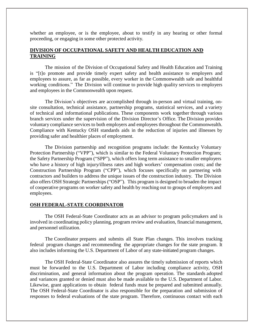whether an employee, or is the employee, about to testify in any hearing or other formal proceeding, or engaging in some other protected activity.

# **DIVISION OF OCCUPATIONAL SAFETY AND HEALTH EDUCATION AND TRAINING**

The mission of the Division of Occupational Safety and Health Education and Training is "[t]o promote and provide timely expert safety and health assistance to employers and employees to assure, as far as possible, every worker in the Commonwealth safe and healthful working conditions." The Division will continue to provide high quality services to employers and employees in the Commonwealth upon request.

The Division's objectives are accomplished through in-person and virtual training, onsite consultation, technical assistance, partnership programs, statistical services, and a variety of technical and informational publications. These components work together through various branch services under the supervision of the Division Director's Office. The Division provides voluntary compliance services to both employers and employees throughout the Commonwealth. Compliance with Kentucky OSH standards aids in the reduction of injuries and illnesses by providing safer and healthier places of employment.

The Division partnership and recognition programs include: the Kentucky Voluntary Protection Partnership ("VPP"), which is similar to the Federal Voluntary Protection Program; the Safety Partnership Program ("SPP"), which offers long term assistance to smaller employers who have a history of high injury/illness rates and high workers' compensation costs; and the Construction Partnership Program ("CPP"), which focuses specifically on partnering with contractors and builders to address the unique issues of the construction industry. The Division also offers OSH Strategic Partnerships ("OSP"). This program is designed to broaden the impact of cooperative programs on worker safety and health by reaching out to groups of employers and employees.

#### **OSH FEDERAL-STATE COORDINATOR**

The OSH Federal-State Coordinator acts as an advisor to program policymakers and is involved in coordinating policy planning, program review and evaluation, financial management, and personnel utilization.

The Coordinator prepares and submits all State Plan changes. This involves tracking federal program changes and recommending the appropriate changes for the state program. It also includes informing the U.S. Department of Labor of any state-initiated program changes.

The OSH Federal-State Coordinator also assures the timely submission of reports which must be forwarded to the U.S. Department of Labor including compliance activity, OSH discrimination, and general information about the program operation. The standards adopted and variances granted or denied must also be made available to the U.S. Department of Labor. Likewise, grant applications to obtain federal funds must be prepared and submitted annually. The OSH Federal-State Coordinator is also responsible for the preparation and submission of responses to federal evaluations of the state program. Therefore, continuous contact with each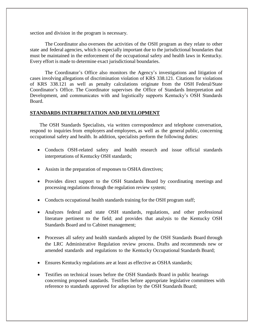section and division in the program is necessary.

The Coordinator also oversees the activities of the OSH program as they relate to other state and federal agencies, which is especially important due to the jurisdictional boundaries that must be maintained in the enforcement of the occupational safety and health laws in Kentucky. Every effort is made to determine exact jurisdictional boundaries.

The Coordinator's Office also monitors the Agency's investigations and litigation of cases involving allegations of discrimination violation of KRS 338.121. Citations for violations of KRS 338.121 as well as penalty calculations originate from the OSH Federal/State Coordinator's Office. The Coordinator supervises the Office of Standards Interpretation and Development, and communicates with and logistically supports Kentucky's OSH Standards Board.

# **STANDARDS INTERPRETATION AND DEVELOPMENT**

The OSH Standards Specialists, via written correspondence and telephone conversation, respond to inquiries from employers and employees, as well as the general public, concerning occupational safety and health. In addition, specialists perform the following duties:

- Conducts OSH-related safety and health research and issue official standards interpretations of Kentucky OSH standards;
- Assists in the preparation of responses to OSHA directives;
- Provides direct support to the OSH Standards Board by coordinating meetings and processing regulations through the regulation review system;
- Conducts occupational health standards training for the OSH program staff;
- Analyzes federal and state OSH standards, regulations, and other professional literature pertinent to the field; and provides that analysis to the Kentucky OSH Standards Board and to Cabinet management;
- Processes all safety and health standards adopted by the OSH Standards Board through the LRC Administrative Regulation review process. Drafts and recommends new or amended standards and regulations to the Kentucky Occupational Standards Board;
- Ensures Kentucky regulations are at least as effective as OSHA standards;
- Testifies on technical issues before the OSH Standards Board in public hearings concerning proposed standards. Testifies before appropriate legislative committees with reference to standards approved for adoption by the OSH Standards Board;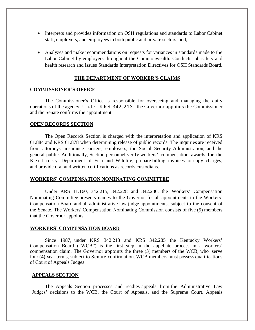- Interprets and provides information on OSH regulations and standards to Labor Cabinet staff, employers, and employees in both public and private sectors; and,
- Analyzes and make recommendations on requests for variances in standards made to the Labor Cabinet by employers throughout the Commonwealth. Conducts job safety and health research and issues Standards Interpretation Directives for OSH Standards Board.

#### **THE DEPARTMENT OF WORKER'S CLAIMS**

#### **COMMISSIONER'S OFFICE**

The Commissioner's Office is responsible for overseeing and managing the daily operations of the agency. Under  $KRS$  342.213, the Governor appoints the Commissioner and the Senate confirms the appointment.

# **OPEN RECORDS SECTION**

The Open Records Section is charged with the interpretation and application of KRS 61.884 and KRS 61.878 when determining release of public records. The inquiries are received from attorneys, insurance carriers, employers, the Social Security Administration, and the general public. Additionally, Section personnel verify workers' compensation awards for the K e n t u c k y Department of Fish and Wildlife, prepare billing invoices for copy charges, and provide oral and written certifications as records custodians.

## **WORKERS' COMPENSATION NOMINATING COMMITTEE**

Under KRS 11.160, 342.215, 342.228 and 342.230, the Workers' Compensation Nominating Committee presents names to the Governor for all appointments to the Workers' Compensation Board and all administrative law judge appointments, subject to the consent of the Senate. The Workers' Compensation Nominating Commission consists of five (5) members that the Governor appoints.

#### **WORKERS' COMPENSATION BOARD**

Since 1987, under KRS 342.213 and KRS 342.285 the Kentucky Workers' Compensation Board ("WCB") is the first step in the appellate process in a workers' compensation claim. The Governor appoints the three (3) members of the WCB, who serve four (4) year terms, subject to Senate confirmation. WCB members must possess qualifications of Court of Appeals Judges.

#### **APPEALS SECTION**

The Appeals Section processes and readies appeals from the Administrative Law Judges' decisions to the WCB, the Court of Appeals, and the Supreme Court. Appeals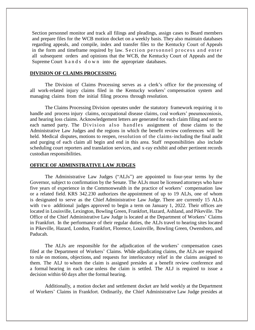Section personnel monitor and track all filings and pleadings, assign cases to Board members and prepare files for the WCB motion docket on a weekly basis. They also maintain databases regarding appeals, and compile, index and transfer files to the Kentucky Court of Appeals in the form and timeframe required by law. Section personnel process and enter all subsequent orders and opinions that the WCB, the Kentucky Court of Appeals and the Supreme Court h a n d s d o w n into the appropriate databases.

# **DIVISION OF CLAIMS PROCESSING**

The Division of Claims Processing serves as a clerk's office for the processing of all work-related injury claims filed in the Kentucky workers' compensation system and managing claims from the initial filing process through resolution.

The Claims Processing Division operates under the statutory framework requiring it to handle and process injury claims, occupational disease claims, coal workers' pneumoconiosis, and hearing loss claims. Acknowledgement letters are generated for each claim filing and sent to each named party. The Division also handles assignment of those claims to the Administrative Law Judges and the regions in which the benefit review conferences will be held. Medical disputes, motions to reopen, resolution of the claims-including the final audit and purging of each claim all begin and end in this area. Staff responsibilities also include scheduling court reporters and translation services, and x-ray exhibit and other pertinent records custodian responsibilities.

#### **OFFICE OF ADMINSTRATIVE LAW JUDGES**

The Administrative Law Judges ("ALJs") are appointed to four-year terms by the Governor, subject to confirmation by the Senate. The ALJs must be licensed attorneys who have five years of experience in the Commonwealth in the practice of workers' compensation law or a related field. KRS 342.230 authorizes the appointment of up to 19 ALJs, one of whom is designated to serve as the Chief Administrative Law Judge. There are currently 15 ALJs with two additional judges approved to begin a term on January 1, 2022. Their offices are located in Louisville, Lexington, Bowling Green, Frankfort, Hazard, Ashland, and Pikeville. The Office of the Chief Administrative Law Judge is located at the Department of Workers' Claims in Frankfort. In the performance of their regular duties, the ALJs travel to hearing sites located in Pikeville, Hazard, London, Frankfort, Florence, Louisville, Bowling Green, Owensboro, and Paducah.

The ALJs are responsible for the adjudication of the workers' compensation cases filed at the Department of Workers' Claims. While adjudicating claims, the ALJs are required to rule on motions, objections, and requests for interlocutory relief in the claims assigned to them. The ALJ to whom the claim is assigned presides at a benefit review conference and a formal hearing in each case unless the claim is settled. The ALJ is required to issue a decision within 60 days after the formal hearing.

Additionally, a motion docket and settlement docket are held weekly at the Department of Workers' Claims in Frankfort. Ordinarily, the Chief Administrative Law Judge presides at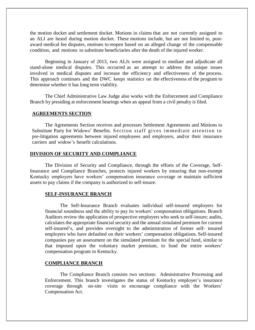the motion docket and settlement docket. Motions in claims that are not currently assigned to an ALJ are heard during motion docket. These motions include, but are not limited to, postaward medical fee disputes, motions to reopen based on an alleged change of the compensable condition, and motions to substitute beneficiaries after the death of the injured worker.

Beginning in January of 2013, two ALJs were assigned to mediate and adjudicate all stand-alone medical disputes. This occurred as an attempt to address the unique issues involved in medical disputes and increase the efficiency and effectiveness of the process. This approach continues and the DWC keeps statistics on the effectiveness of the program to determine whether it has long term viability.

The Chief Administrative Law Judge also works with the Enforcement and Compliance Branch by presiding at enforcement hearings when an appeal from a civil penalty is filed.

#### **AGREEMENTS SECTION**

The Agreements Section receives and processes Settlement Agreements and Motions to Substitute Party for Widows' Benefits. Section staff gives immediate attention to pre-litigation agreements between injured employees and employers, and/or their insurance carriers and widow's benefit calculations.

# **DIVISION OF SECURITY AND COMPLIANCE**

The Division of Security and Compliance, through the efforts of the Coverage, Self-Insurance and Compliance Branches, protects injured workers by ensuring that non-exempt Kentucky employers have workers' compensation insurance coverage or maintain sufficient assets to pay claims if the company is authorized to self-insure.

#### **SELF-INSURANCE BRANCH**

The Self-Insurance Branch evaluates individual self-insured employers for financial soundness and the ability to pay its workers' compensation obligations. Branch Auditors review the application of prospective employers who seek to self-insure; audits, calculates the appropriate financial security and the annual simulated premium for current self-insured's, and provides oversight to the administration of former self- insured employers who have defaulted on their workers' compensation obligations. Self-insured companies pay an assessment on the simulated premium for the special fund, similar to that imposed upon the voluntary market premium, to fund the entire workers' compensation program in Kentucky.

#### **COMPLIANCE BRANCH**

The Compliance Branch consists two sections: Administrative Processing and Enforcement. This branch investigates the status of Kentucky employer's insurance coverage through on-site visits to encourage compliance with the Workers' Compensation Act.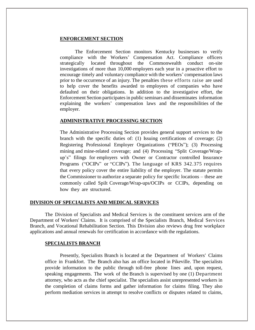# **ENFORCEMENT SECTION**

The Enforcement Section monitors Kentucky businesses to verify compliance with the Workers' Compensation Act. Compliance officers strategically located throughout the Commonwealth conduct on-site investigations of more than 10,000 employers each year in a proactive effort to encourage timely and voluntary compliance with the workers' compensation laws prior to the occurrence of an injury. The penalties these efforts raise are used to help cover the benefits awarded to employees of companies who have defaulted on their obligations. In addition to the investigative effort, the Enforcement Section participates in public seminars and disseminates information explaining the workers' compensation laws and the responsibilities of the employer.

# **ADMINISTRATIVE PROCESSING SECTION**

The Administrative Processing Section provides general support services to the branch with the specific duties of: (1) Issuing certifications of coverage; (2) Registering Professional Employer Organizations ("PEOs"); (3) Processing mining and mine-related coverage; and (4) Processing "Split Coverage/Wrapup's" filings for employers with Owner or Contractor controlled Insurance Programs ("OCIPs" or "CCIPs"). The language of KRS 342.375 requires that every policy cover the entire liability of the employer. The statute permits the Commissioner to authorize a separate policy for specific locations – these are commonly called Spilt Coverage/Wrap-ups/OCIPs or CCIPs, depending on how they are structured.

# **DIVISION OF SPECIALISTS AND MEDICAL SERVICES**

The Division of Specialists and Medical Services is the constituent services arm of the Department of Workers' Claims. It is comprised of the Specialists Branch, Medical Services Branch, and Vocational Rehabilitation Section. This Division also reviews drug free workplace applications and annual renewals for certification in accordance with the regulations.

# **SPECIALISTS BRANCH**

Presently, Specialists Branch is located at the Department of Workers' Claims office in Frankfort. The Branch also has an office located in Pikeville. The specialists provide information to the public through toll-free phone lines and, upon request, speaking engagements. The work of the Branch is supervised by one (1) Department attorney, who acts as the chief specialist. The specialists assist unrepresented workers in the completion of claims forms and gather information for claims filing. They also perform mediation services in attempt to resolve conflicts or disputes related to claims,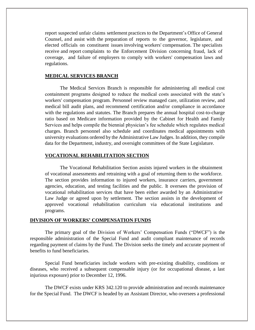report suspected unfair claims settlement practices to the Department's Office of General Counsel, and assist with the preparation of reports to the governor, legislature, and elected officials on constituent issues involving workers' compensation. The specialists receive and report complaints to the Enforcement Division concerning fraud, lack of coverage, and failure of employers to comply with workers' compensation laws and regulations.

# **MEDICAL SERVICES BRANCH**

The Medical Services Branch is responsible for administering all medical cost containment programs designed to reduce the medical costs associated with the state's workers' compensation program. Personnel review managed care, utilization review, and medical bill audit plans, and recommend certification and/or compliance in accordance with the regulations and statutes. The Branch prepares the annual hospital cost-to-charge ratio based on Medicare information provided by the Cabinet for Health and Family Services and helps compile the biennial physician's fee schedule which regulates medical charges. Branch personnel also schedule and coordinates medical appointments with university evaluations ordered by the Administrative Law Judges. In addition, they compile data for the Department, industry, and oversight committees of the State Legislature.

# **VOCATIONAL REHABILITATION SECTION**

The Vocational Rehabilitation Section assists injured workers in the obtainment of vocational assessments and retraining with a goal of returning them to the workforce. The section provides information to injured workers, insurance carriers, government agencies, education, and testing facilities and the public. It oversees the provision of vocational rehabilitation services that have been either awarded by an Administrative Law Judge or agreed upon by settlement. The section assists in the development of approved vocational rehabilitation curriculum via educational institutions and programs.

#### **DIVISION OF WORKERS' COMPENSATION FUNDS**

The primary goal of the Division of Workers' Compensation Funds ("DWCF") is the responsible administration of the Special Fund and audit compliant maintenance of records regarding payment of claims by the Fund. The Division seeks the timely and accurate payment of benefits to fund beneficiaries.

Special Fund beneficiaries include workers with pre-existing disability, conditions or diseases, who received a subsequent compensable injury (or for occupational disease, a last injurious exposure) prior to December 12, 1996.

The DWCF exists under KRS 342.120 to provide administration and records maintenance for the Special Fund. The DWCF is headed by an Assistant Director, who oversees a professional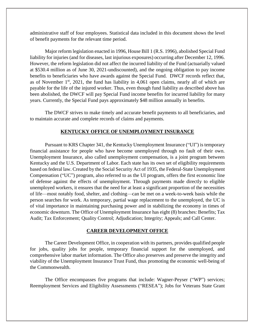administrative staff of four employees. Statistical data included in this document shows the level of benefit payments for the relevant time period.

Major reform legislation enacted in 1996, House Bill 1 (R.S. 1996), abolished Special Fund liability for injuries (and for diseases, last injurious exposures) occurring after December 12, 1996. However, the reform legislation did not affect the incurred liability of the Fund (actuarially valued at \$530.4 million as of June 30, 2021-undiscounted), and the ongoing obligation to pay income benefits to beneficiaries who have awards against the Special Fund. DWCF records reflect that, as of November  $1<sup>st</sup>$ , 2021, the fund has liability in 4,061 open claims, nearly all of which are payable for the life of the injured worker. Thus, even though fund liability as described above has been abolished, the DWCF will pay Special Fund income benefits for incurred liability for many years. Currently, the Special Fund pays approximately \$48 million annually in benefits.

The DWCF strives to make timely and accurate benefit payments to all beneficiaries, and to maintain accurate and complete records of claims and payments.

# **KENTUCKY OFFICE OF UNEMPLOYMENT INSURANCE**

Pursuant to KRS Chapter 341, the Kentucky Unemployment Insurance ("UI") is temporary financial assistance for people who have become unemployed through no fault of their own. Unemployment Insurance, also called unemployment compensation, is a joint program between Kentucky and the U.S. Department of Labor. Each state has its own set of eligibility requirements based on federal law. Created by the Social Security Act of 1935, the Federal-State Unemployment Compensation ("UC") program, also referred to as the UI program, offers the first economic line of defense against the effects of unemployment. Through payments made directly to eligible unemployed workers, it ensures that the need for at least a significant proportion of the necessities of life—most notably food, shelter, and clothing—can be met on a week-to-week basis while the person searches for work. As temporary, partial wage replacement to the unemployed, the UC is of vital importance in maintaining purchasing power and in stabilizing the economy in times of economic downturn. The Office of Unemployment Insurance has eight (8) branches: Benefits; Tax Audit; Tax Enforcement; Quality Control; Adjudication; Integrity; Appeals; and Call Center.

# **CAREER DEVELOPMENT OFFICE**

The Career Development Office, in cooperation with its partners, provides qualified people for jobs, quality jobs for people, temporary financial support for the unemployed, and comprehensive labor market information. The Office also preserves and preserve the integrity and viability of the Unemployment Insurance Trust Fund, thus promoting the economic well-being of the Commonwealth.

The Office encompasses five programs that include: Wagner-Peyser ("WP") services; Reemployment Services and Eligibility Assessments ("RESEA"); Jobs for Veterans State Grant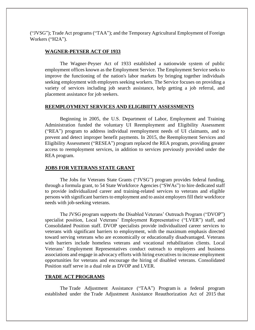("JVSG"); Trade Act programs ("TAA"); and the Temporary Agricultural Employment of Foreign Workers ("H2A").

# **WAGNER-PEYSER ACT OF 1933**

The Wagner-Peyser Act of 1933 established a nationwide system of public employment offices known as the Employment Service. The Employment Service seeks to improve the functioning of the nation's labor markets by bringing together individuals seeking employment with employers seeking workers. The Service focuses on providing a variety of services including job search assistance, help getting a job referral, and placement assistance for job seekers.

# **REEMPLOYMENT SERVICES AND ELIGIBIITY ASSESSMENTS**

Beginning in 2005, the U.S. Department of Labor, Employment and Training Administration funded the voluntary UI Reemployment and Eligibility Assessment ("REA") program to address individual reemployment needs of UI claimants, and to prevent and detect improper benefit payments. In 2015, the Reemployment Services and Eligibility Assessment ("RESEA") program replaced the REA program, providing greater access to reemployment services, in addition to services previously provided under the REA program.

# **JOBS FOR VETERANS STATE GRANT**

The Jobs for Veterans State Grants ("JVSG") program provides federal funding, through a formula grant, to 54 State Workforce Agencies ("SWAs") to hire dedicated staff to provide individualized career and training-related services to veterans and eligible persons with significant barriers to employment and to assist employers fill their workforce needs with job-seeking veterans.

The JVSG program supports the Disabled Veterans' Outreach Program ("DVOP") specialist position, Local Veterans' Employment Representative ("LVER") staff, and Consolidated Position staff. DVOP specialists provide individualized career services to veterans with significant barriers to employment, with the maximum emphasis directed toward serving veterans who are economically or educationally disadvantaged. Veterans with barriers include homeless veterans and vocational rehabilitation clients. Local Veterans' Employment Representatives conduct outreach to employers and business associations and engage in advocacy efforts with hiring executives to increase employment opportunities for veterans and encourage the hiring of disabled veterans. Consolidated Position staff serve in a dual role as DVOP and LVER.

#### **TRADE ACT PROGRAMS**

The Trade Adjustment Assistance ("TAA") Program is a federal program established under the Trade Adjustment Assistance Reauthorization Act of 2015 that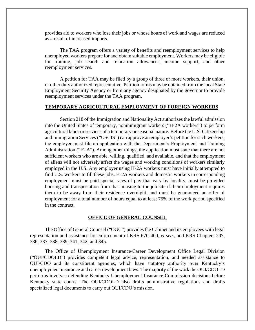provides aid to workers who lose their jobs or whose hours of work and wages are reduced as a result of increased imports.

The TAA program offers a variety of benefits and reemployment services to help unemployed workers prepare for and obtain suitable employment. Workers may be eligible for training, job search and relocation allowances, income support, and other reemployment services.

A petition for TAA may be filed by a group of three or more workers, their union, or other duly authorized representative. Petition forms may be obtained from the local State Employment Security Agency or from any agency designated by the governor to provide reemployment services under the TAA program.

#### **TEMPORARY AGRICULTURAL EMPLOYMENT OF FOREIGN WORKERS**

Section 218 of the Immigration and Nationality Act authorizes the lawful admission into the United States of temporary, nonimmigrant workers ("H-2A workers") to perform agricultural labor or services of a temporary or seasonal nature. Before the U.S. Citizenship and Immigration Services ("USCIS") can approve an employer's petition for such workers, the employer must file an application with the Department's Employment and Training Administration ("ETA"). Among other things, the application must state that there are not sufficient workers who are able, willing, qualified, and available, and that the employment of aliens will not adversely affect the wages and working conditions of workers similarly employed in the U.S. Any employer using H-2A workers must have initially attempted to find U.S. workers to fill these jobs. H-2A workers and domestic workers in corresponding employment must be paid special rates of pay that vary by locality, must be provided housing and transportation from that housing to the job site if their employment requires them to be away from their residence overnight, and must be guaranteed an offer of employment for a total number of hours equal to at least 75% of the work period specified in the contract.

#### **OFFICE OF GENERAL COUNSEL**

The Office of General Counsel ("OGC") provides the Cabinet and its employees with legal representation and assistance for enforcement of KRS 67C.400, *et seq*., and KRS Chapters 207, 336, 337, 338, 339, 341, 342, and 345.

The Office of Unemployment Insurance/Career Development Office Legal Division ("OUI/CDOLD") provides competent legal advice, representation, and needed assistance to OUI/CDO and its constituent agencies, which have statutory authority over Kentucky's unemployment insurance and career development laws. The majority of the work the OUI/CDOLD performs involves defending Kentucky Unemployment Insurance Commission decisions before Kentucky state courts. The OUI/CDOLD also drafts administrative regulations and drafts specialized legal documents to carry out OUI/CDO's mission.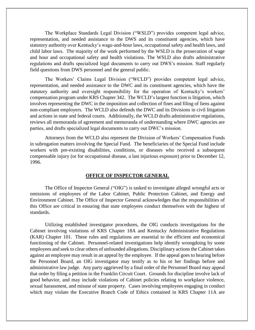The Workplace Standards Legal Division ("WSLD") provides competent legal advice, representation, and needed assistance to the DWS and its constituent agencies, which have statutory authority over Kentucky's wage-and-hour laws, occupational safety and health laws, and child labor laws. The majority of the work performed by the WSLD is the prosecution of wage and hour and occupational safety and health violations. The WSLD also drafts administrative regulations and drafts specialized legal documents to carry out DWS's mission. Staff regularly field questions from DWS personnel and the general public.

The Workers' Claims Legal Division ("WCLD") provides competent legal advice, representation, and needed assistance to the DWC and its constituent agencies, which have the statutory authority and oversight responsibility for the operation of Kentucky's workers' compensation program under KRS Chapter 342. The WCLD's largest function is litigation, which involves representing the DWC in the imposition and collection of fines and filing of liens against non-compliant employers. The WCLD also defends the DWC and its Divisions in civil litigation and actions in state and federal courts. Additionally, the WCLD drafts administrative regulations, reviews all memoranda of agreement and memoranda of understanding where DWC agencies are parties, and drafts specialized legal documents to carry out DWC's mission.

Attorneys from the WCLD also represent the Division of Workers' Compensation Funds in subrogation matters involving the Special Fund. The beneficiaries of the Special Fund include workers with pre-existing disabilities, conditions, or diseases who received a subsequent compensable injury (or for occupational disease, a last injurious exposure) prior to December 12, 1996.

#### **OFFICE OF INSPECTOR GENERAL**

The Office of Inspector General ("OIG") is tasked to investigate alleged wrongful acts or omissions of employees of the Labor Cabinet, Public Protection Cabinet, and Energy and Environment Cabinet. The Office of Inspector General acknowledges that the responsibilities of this Office are critical in ensuring that state employees conduct themselves with the highest of standards.

Utilizing established investigator procedures, the OIG conducts investigations for the Cabinet involving violations of KRS Chapter 18A and Kentucky Administrative Regulations (KAR) Chapter 101. These rules and regulations are essential to the efficient and economical functioning of the Cabinet. Personnel-related investigations help identify wrongdoing by some employees and seek to clear others of unfounded allegations. Disciplinary actions the Cabinet takes against an employee may result in an appeal by the employee. If the appeal goes to hearing before the Personnel Board, an OIG investigator may testify as to his or her findings before and administrative law judge. Any party aggrieved by a final order of the Personnel Board may appeal that order by filing a petition in the Franklin Circuit Court. Grounds for discipline involve lack of good behavior, and may include violations of Cabinet policies relating to workplace violence, sexual harassment, and misuse of state property. Cases involving employees engaging in conduct which may violate the Executive Branch Code of Ethics contained in KRS Chapter 11A are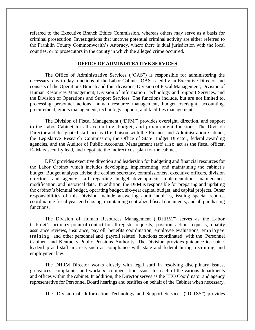referred to the Executive Branch Ethics Commission, whereas others may serve as a basis for criminal prosecution. Investigations that uncover potential criminal activity are either referred to the Franklin County Commonwealth's Attorney, where there is dual jurisdiction with the local counties, or to prosecutors in the county in which the alleged crime occurred.

#### **OFFICE OF ADMINISTRATIVE SERVICES**

The Office of Administrative Services ("OAS") is responsible for administering the necessary, day-to-day functions of the Labor Cabinet. OAS is led by an Executive Director and consists of the Operations Branch and four divisions, Division of Fiscal Management, Division of Human Resources Management, Division of Information Technology and Support Services, and the Division of Operations and Support Services. The functions include, but are not limited to, processing personnel actions, human resource management, budget oversight, accounting, procurement, grants management, technology support, and facilities management.

The Division of Fiscal Management ("DFM") provides oversight, direction, and support to the Labor Cabinet for all accounting, budget, and procurement functions. The Division Director and designated staff act as the liaison with the Finance and Administration Cabinet, the Legislative Research Commission, the Office of State Budget Director, federal awarding agencies, and the Auditor of Public Accounts. Management staff also act as the fiscal officer, E- Mars security lead, and negotiate the indirect cost plan for the cabinet.

DFM provides executive direction and leadership for budgeting and financial resources for the Labor Cabinet which includes developing, implementing, and maintaining the cabinet's budget. Budget analysts advise the cabinet secretary, commissioners, executive officers, division directors, and agency staff regarding budget development implementation, maintenance, modification, and historical data. In addition, the DFM is responsible for preparing and updating the cabinet's biennial budget, operating budget, six-year capital budget, and capital projects. Other responsibilities of this Division include answering audit inquiries, issuing special reports, coordinating fiscal year-end closing, maintaining centralized fiscal documents, and all purchasing functions.

The Division of Human Resources Management ("DHRM") serves as the Labor Cabinet's primary point of contact for all register requests, position action requests, quality assurance reviews, insurance, payroll, benefits coordination, employee evaluations, employee training, and other personnel and payroll related functions coordinated with the Personnel Cabinet and Kentucky Public Pensions Authority. The Division provides guidance to cabinet leadership and staff in areas such as compliance with state and federal hiring, recruiting, and employment law.

The DHRM Director works closely with legal staff in resolving disciplinary issues, grievances, complaints, and workers' compensation issues for each of the various departments and offices within the cabinet. In addition, the Director serves as the EEO Coordinator and agency representative for Personnel Board hearings and testifies on behalf of the Cabinet when necessary.

The Division of Information Technology and Support Services ("DITSS") provides